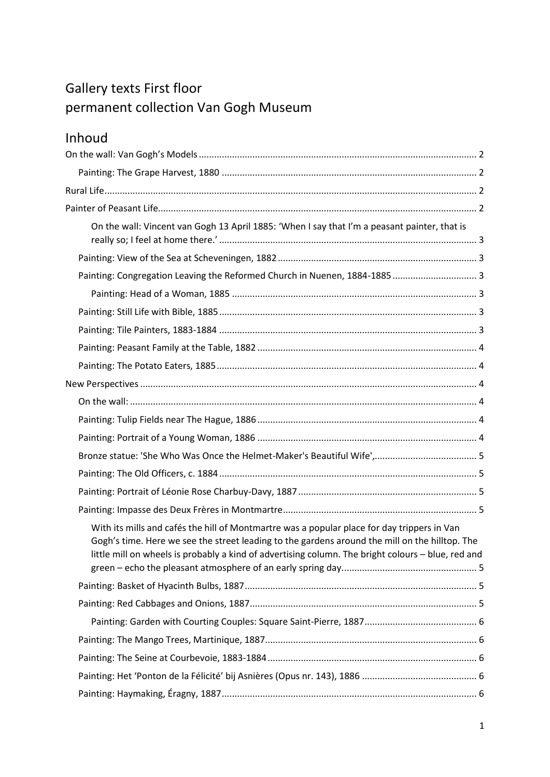# Gallery texts First floor permanent collection Van Gogh Museum

# Inhoud

| On the wall: Vincent van Gogh 13 April 1885: 'When I say that I'm a peasant painter, that is                                                                                                                                                                                                        |  |
|-----------------------------------------------------------------------------------------------------------------------------------------------------------------------------------------------------------------------------------------------------------------------------------------------------|--|
|                                                                                                                                                                                                                                                                                                     |  |
| Painting: Congregation Leaving the Reformed Church in Nuenen, 1884-1885 3                                                                                                                                                                                                                           |  |
|                                                                                                                                                                                                                                                                                                     |  |
|                                                                                                                                                                                                                                                                                                     |  |
|                                                                                                                                                                                                                                                                                                     |  |
|                                                                                                                                                                                                                                                                                                     |  |
|                                                                                                                                                                                                                                                                                                     |  |
|                                                                                                                                                                                                                                                                                                     |  |
|                                                                                                                                                                                                                                                                                                     |  |
|                                                                                                                                                                                                                                                                                                     |  |
|                                                                                                                                                                                                                                                                                                     |  |
|                                                                                                                                                                                                                                                                                                     |  |
|                                                                                                                                                                                                                                                                                                     |  |
|                                                                                                                                                                                                                                                                                                     |  |
|                                                                                                                                                                                                                                                                                                     |  |
| With its mills and cafés the hill of Montmartre was a popular place for day trippers in Van<br>Gogh's time. Here we see the street leading to the gardens around the mill on the hilltop. The<br>little mill on wheels is probably a kind of advertising column. The bright colours - blue, red and |  |
|                                                                                                                                                                                                                                                                                                     |  |
|                                                                                                                                                                                                                                                                                                     |  |
|                                                                                                                                                                                                                                                                                                     |  |
|                                                                                                                                                                                                                                                                                                     |  |
|                                                                                                                                                                                                                                                                                                     |  |
|                                                                                                                                                                                                                                                                                                     |  |
|                                                                                                                                                                                                                                                                                                     |  |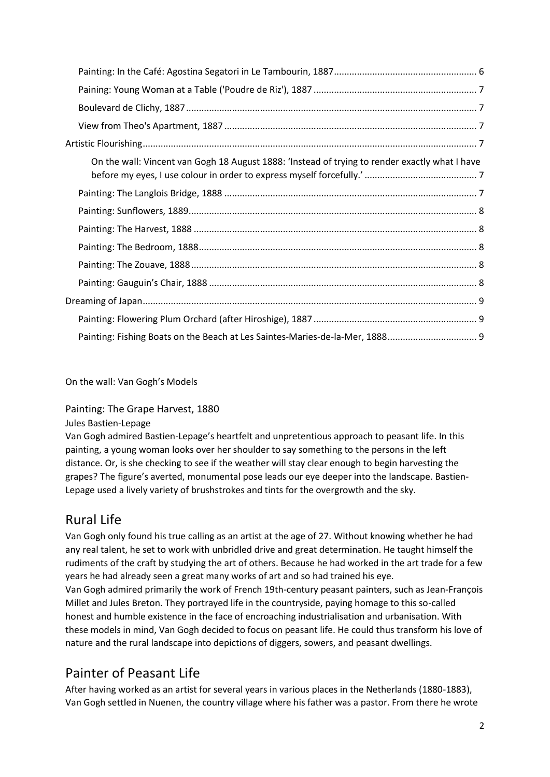| On the wall: Vincent van Gogh 18 August 1888: 'Instead of trying to render exactly what I have |  |
|------------------------------------------------------------------------------------------------|--|
|                                                                                                |  |
|                                                                                                |  |
|                                                                                                |  |
|                                                                                                |  |
|                                                                                                |  |
|                                                                                                |  |
|                                                                                                |  |
|                                                                                                |  |
|                                                                                                |  |

<span id="page-1-0"></span>On the wall: Van Gogh's Models

<span id="page-1-1"></span>Painting: The Grape Harvest, 1880

Jules Bastien-Lepage

Van Gogh admired Bastien-Lepage's heartfelt and unpretentious approach to peasant life. In this painting, a young woman looks over her shoulder to say something to the persons in the left distance. Or, is she checking to see if the weather will stay clear enough to begin harvesting the grapes? The figure's averted, monumental pose leads our eye deeper into the landscape. Bastien-Lepage used a lively variety of brushstrokes and tints for the overgrowth and the sky.

# <span id="page-1-2"></span>Rural Life

Van Gogh only found his true calling as an artist at the age of 27. Without knowing whether he had any real talent, he set to work with unbridled drive and great determination. He taught himself the rudiments of the craft by studying the art of others. Because he had worked in the art trade for a few years he had already seen a great many works of art and so had trained his eye. Van Gogh admired primarily the work of French 19th-century peasant painters, such as Jean-François Millet and Jules Breton. They portrayed life in the countryside, paying homage to this so-called honest and humble existence in the face of encroaching industrialisation and urbanisation. With these models in mind, Van Gogh decided to focus on peasant life. He could thus transform his love of nature and the rural landscape into depictions of diggers, sowers, and peasant dwellings.

# <span id="page-1-3"></span>Painter of Peasant Life

After having worked as an artist for several years in various places in the Netherlands (1880-1883), Van Gogh settled in Nuenen, the country village where his father was a pastor. From there he wrote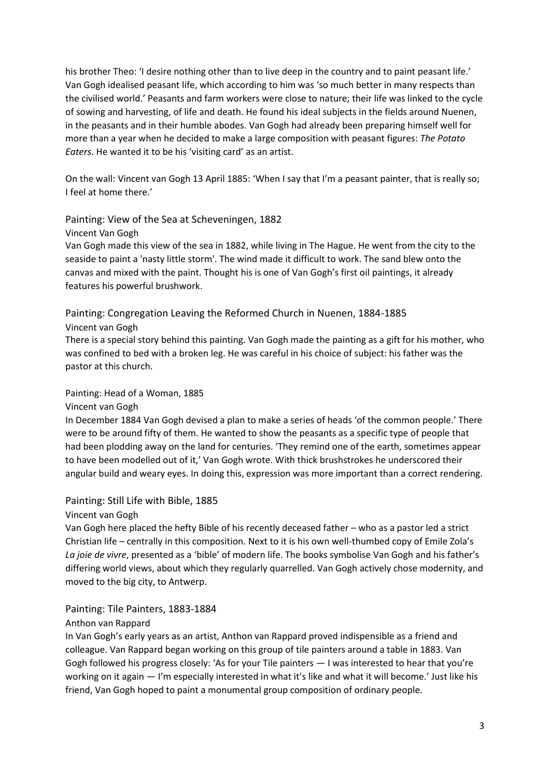his brother Theo: 'I desire nothing other than to live deep in the country and to paint peasant life.' Van Gogh idealised peasant life, which according to him was 'so much better in many respects than the civilised world.' Peasants and farm workers were close to nature; their life was linked to the cycle of sowing and harvesting, of life and death. He found his ideal subjects in the fields around Nuenen, in the peasants and in their humble abodes. Van Gogh had already been preparing himself well for more than a year when he decided to make a large composition with peasant figures: *The Potato Eaters*. He wanted it to be his 'visiting card' as an artist.

<span id="page-2-0"></span>On the wall: Vincent van Gogh 13 April 1885: 'When I say that I'm a peasant painter, that is really so; I feel at home there.'

## <span id="page-2-1"></span>Painting: View of the Sea at Scheveningen, 1882

#### Vincent Van Gogh

Van Gogh made this view of the sea in 1882, while living in The Hague. He went from the city to the seaside to paint a 'nasty little storm'. The wind made it difficult to work. The sand blew onto the canvas and mixed with the paint. Thought his is one of Van Gogh's first oil paintings, it already features his powerful brushwork.

<span id="page-2-2"></span>Painting: Congregation Leaving the Reformed Church in Nuenen, 1884-1885 Vincent van Gogh

There is a special story behind this painting. Van Gogh made the painting as a gift for his mother, who was confined to bed with a broken leg. He was careful in his choice of subject: his father was the pastor at this church.

#### <span id="page-2-3"></span>Painting: Head of a Woman, 1885

#### Vincent van Gogh

In December 1884 Van Gogh devised a plan to make a series of heads 'of the common people.' There were to be around fifty of them. He wanted to show the peasants as a specific type of people that had been plodding away on the land for centuries. 'They remind one of the earth, sometimes appear to have been modelled out of it,' Van Gogh wrote. With thick brushstrokes he underscored their angular build and weary eyes. In doing this, expression was more important than a correct rendering.

#### <span id="page-2-4"></span>Painting: Still Life with Bible, 1885

#### Vincent van Gogh

Van Gogh here placed the hefty Bible of his recently deceased father – who as a pastor led a strict Christian life – centrally in this composition. Next to it is his own well-thumbed copy of Emile Zola's *La joie de vivre*, presented as a 'bible' of modern life. The books symbolise Van Gogh and his father's differing world views, about which they regularly quarrelled. Van Gogh actively chose modernity, and moved to the big city, to Antwerp.

## <span id="page-2-5"></span>Painting: Tile Painters, 1883-1884

## Anthon van Rappard

In Van Gogh's early years as an artist, Anthon van Rappard proved indispensible as a friend and colleague. Van Rappard began working on this group of tile painters around a table in 1883. Van Gogh followed his progress closely: 'As for your Tile painters — I was interested to hear that you're working on it again — I'm especially interested in what it's like and what it will become.' Just like his friend, Van Gogh hoped to paint a monumental group composition of ordinary people.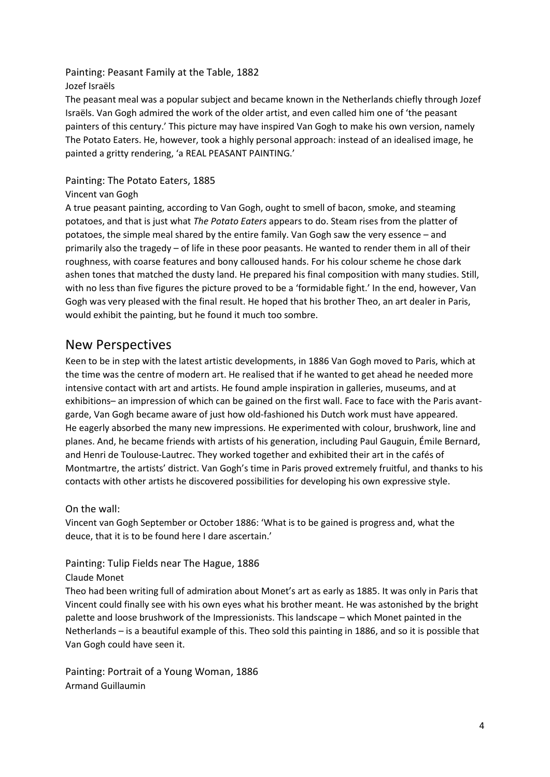<span id="page-3-0"></span>Painting: Peasant Family at the Table, 1882 Jozef Israëls

The peasant meal was a popular subject and became known in the Netherlands chiefly through Jozef Israëls. Van Gogh admired the work of the older artist, and even called him one of 'the peasant painters of this century.' This picture may have inspired Van Gogh to make his own version, namely The Potato Eaters. He, however, took a highly personal approach: instead of an idealised image, he painted a gritty rendering, 'a REAL PEASANT PAINTING.'

## <span id="page-3-1"></span>Painting: The Potato Eaters, 1885

## Vincent van Gogh

A true peasant painting, according to Van Gogh, ought to smell of bacon, smoke, and steaming potatoes, and that is just what *The Potato Eaters* appears to do. Steam rises from the platter of potatoes, the simple meal shared by the entire family. Van Gogh saw the very essence – and primarily also the tragedy – of life in these poor peasants. He wanted to render them in all of their roughness, with coarse features and bony calloused hands. For his colour scheme he chose dark ashen tones that matched the dusty land. He prepared his final composition with many studies. Still, with no less than five figures the picture proved to be a 'formidable fight.' In the end, however, Van Gogh was very pleased with the final result. He hoped that his brother Theo, an art dealer in Paris, would exhibit the painting, but he found it much too sombre.

## <span id="page-3-2"></span>New Perspectives

Keen to be in step with the latest artistic developments, in 1886 Van Gogh moved to Paris, which at the time was the centre of modern art. He realised that if he wanted to get ahead he needed more intensive contact with art and artists. He found ample inspiration in galleries, museums, and at exhibitions– an impression of which can be gained on the first wall. Face to face with the Paris avantgarde, Van Gogh became aware of just how old-fashioned his Dutch work must have appeared. He eagerly absorbed the many new impressions. He experimented with colour, brushwork, line and planes. And, he became friends with artists of his generation, including Paul Gauguin, Émile Bernard, and Henri de Toulouse-Lautrec. They worked together and exhibited their art in the cafés of Montmartre, the artists' district. Van Gogh's time in Paris proved extremely fruitful, and thanks to his contacts with other artists he discovered possibilities for developing his own expressive style.

## <span id="page-3-3"></span>On the wall:

Vincent van Gogh September or October 1886: 'What is to be gained is progress and, what the deuce, that it is to be found here I dare ascertain.'

## <span id="page-3-4"></span>Painting: Tulip Fields near The Hague, 1886

## Claude Monet

Theo had been writing full of admiration about Monet's art as early as 1885. It was only in Paris that Vincent could finally see with his own eyes what his brother meant. He was astonished by the bright palette and loose brushwork of the Impressionists. This landscape – which Monet painted in the Netherlands – is a beautiful example of this. Theo sold this painting in 1886, and so it is possible that Van Gogh could have seen it.

<span id="page-3-5"></span>Painting: Portrait of a Young Woman, 1886 Armand Guillaumin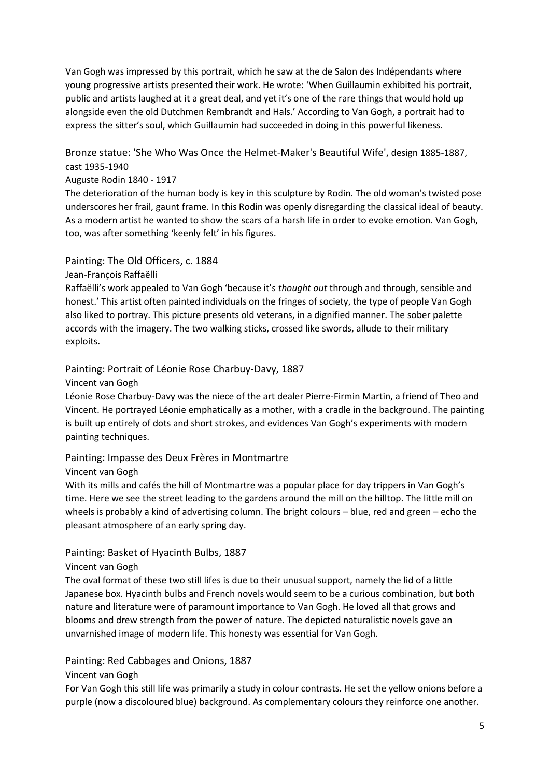Van Gogh was impressed by this portrait, which he saw at the de Salon des Indépendants where young progressive artists presented their work. He wrote: 'When Guillaumin exhibited his portrait, public and artists laughed at it a great deal, and yet it's one of the rare things that would hold up alongside even the old Dutchmen Rembrandt and Hals.' According to Van Gogh, a portrait had to express the sitter's soul, which Guillaumin had succeeded in doing in this powerful likeness.

<span id="page-4-0"></span>Bronze statue: 'She Who Was Once the Helmet-Maker's Beautiful Wife', design 1885-1887, cast 1935-1940

## Auguste Rodin 1840 - 1917

The deterioration of the human body is key in this sculpture by Rodin. The old woman's twisted pose underscores her frail, gaunt frame. In this Rodin was openly disregarding the classical ideal of beauty. As a modern artist he wanted to show the scars of a harsh life in order to evoke emotion. Van Gogh, too, was after something 'keenly felt' in his figures.

## <span id="page-4-1"></span>Painting: The Old Officers, c. 1884

## Jean-François Raffaëlli

Raffaëlli's work appealed to Van Gogh 'because it's *thought out* through and through, sensible and honest.' This artist often painted individuals on the fringes of society, the type of people Van Gogh also liked to portray. This picture presents old veterans, in a dignified manner. The sober palette accords with the imagery. The two walking sticks, crossed like swords, allude to their military exploits.

## <span id="page-4-2"></span>Painting: Portrait of Léonie Rose Charbuy-Davy, 1887

Vincent van Gogh

Léonie Rose Charbuy-Davy was the niece of the art dealer Pierre-Firmin Martin, a friend of Theo and Vincent. He portrayed Léonie emphatically as a mother, with a cradle in the background. The painting is built up entirely of dots and short strokes, and evidences Van Gogh's experiments with modern painting techniques.

## <span id="page-4-3"></span>Painting: Impasse des Deux Frères in Montmartre

## Vincent van Gogh

<span id="page-4-4"></span>With its mills and cafés the hill of Montmartre was a popular place for day trippers in Van Gogh's time. Here we see the street leading to the gardens around the mill on the hilltop. The little mill on wheels is probably a kind of advertising column. The bright colours – blue, red and green – echo the pleasant atmosphere of an early spring day.

## <span id="page-4-5"></span>Painting: Basket of Hyacinth Bulbs, 1887

## Vincent van Gogh

The oval format of these two still lifes is due to their unusual support, namely the lid of a little Japanese box. Hyacinth bulbs and French novels would seem to be a curious combination, but both nature and literature were of paramount importance to Van Gogh. He loved all that grows and blooms and drew strength from the power of nature. The depicted naturalistic novels gave an unvarnished image of modern life. This honesty was essential for Van Gogh.

## <span id="page-4-6"></span>Painting: Red Cabbages and Onions, 1887

## Vincent van Gogh

For Van Gogh this still life was primarily a study in colour contrasts. He set the yellow onions before a purple (now a discoloured blue) background. As complementary colours they reinforce one another.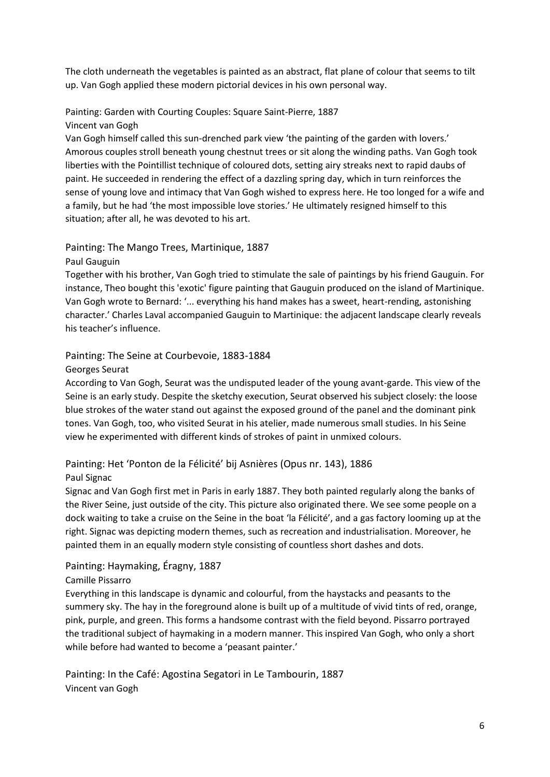The cloth underneath the vegetables is painted as an abstract, flat plane of colour that seems to tilt up. Van Gogh applied these modern pictorial devices in his own personal way.

## <span id="page-5-0"></span>Painting: Garden with Courting Couples: Square Saint-Pierre, 1887 Vincent van Gogh

Van Gogh himself called this sun-drenched park view 'the painting of the garden with lovers.' Amorous couples stroll beneath young chestnut trees or sit along the winding paths. Van Gogh took liberties with the Pointillist technique of coloured dots, setting airy streaks next to rapid daubs of paint. He succeeded in rendering the effect of a dazzling spring day, which in turn reinforces the sense of young love and intimacy that Van Gogh wished to express here. He too longed for a wife and a family, but he had 'the most impossible love stories.' He ultimately resigned himself to this situation; after all, he was devoted to his art.

## <span id="page-5-1"></span>Painting: The Mango Trees, Martinique, 1887

Paul Gauguin

Together with his brother, Van Gogh tried to stimulate the sale of paintings by his friend Gauguin. For instance, Theo bought this 'exotic' figure painting that Gauguin produced on the island of Martinique. Van Gogh wrote to Bernard: '... everything his hand makes has a sweet, heart-rending, astonishing character.' Charles Laval accompanied Gauguin to Martinique: the adjacent landscape clearly reveals his teacher's influence.

## <span id="page-5-2"></span>Painting: The Seine at Courbevoie, 1883-1884

Georges Seurat

According to Van Gogh, Seurat was the undisputed leader of the young avant-garde. This view of the Seine is an early study. Despite the sketchy execution, Seurat observed his subject closely: the loose blue strokes of the water stand out against the exposed ground of the panel and the dominant pink tones. Van Gogh, too, who visited Seurat in his atelier, made numerous small studies. In his Seine view he experimented with different kinds of strokes of paint in unmixed colours.

## <span id="page-5-3"></span>Painting: Het 'Ponton de la Félicité' bij Asnières (Opus nr. 143), 1886 Paul Signac

Signac and Van Gogh first met in Paris in early 1887. They both painted regularly along the banks of the River Seine, just outside of the city. This picture also originated there. We see some people on a dock waiting to take a cruise on the Seine in the boat 'la Félicité', and a gas factory looming up at the right. Signac was depicting modern themes, such as recreation and industrialisation. Moreover, he painted them in an equally modern style consisting of countless short dashes and dots.

## <span id="page-5-4"></span>Painting: Haymaking, Éragny, 1887

## Camille Pissarro

Everything in this landscape is dynamic and colourful, from the haystacks and peasants to the summery sky. The hay in the foreground alone is built up of a multitude of vivid tints of red, orange, pink, purple, and green. This forms a handsome contrast with the field beyond. Pissarro portrayed the traditional subject of haymaking in a modern manner. This inspired Van Gogh, who only a short while before had wanted to become a 'peasant painter.'

<span id="page-5-5"></span>Painting: In the Café: Agostina Segatori in Le Tambourin, 1887 Vincent van Gogh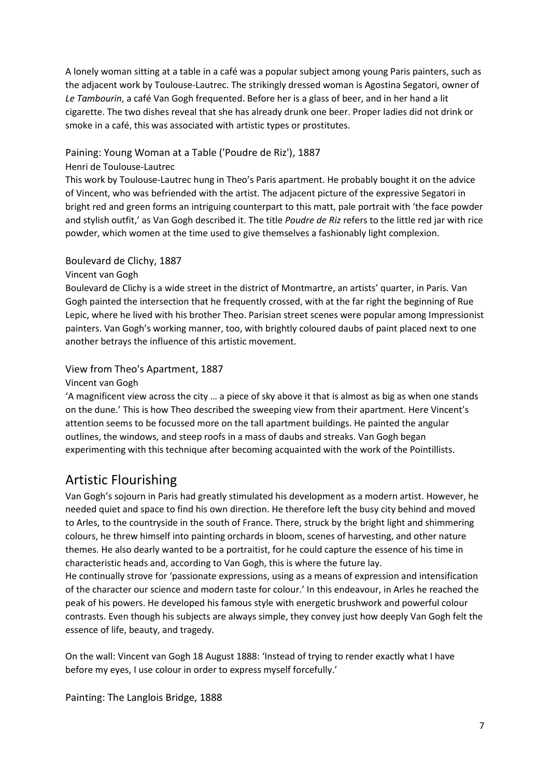A lonely woman sitting at a table in a café was a popular subject among young Paris painters, such as the adjacent work by Toulouse-Lautrec. The strikingly dressed woman is Agostina Segatori, owner of *Le Tambourin*, a café Van Gogh frequented. Before her is a glass of beer, and in her hand a lit cigarette. The two dishes reveal that she has already drunk one beer. Proper ladies did not drink or smoke in a café, this was associated with artistic types or prostitutes.

## <span id="page-6-0"></span>Paining: Young Woman at a Table ('Poudre de Riz'), 1887

## Henri de Toulouse-Lautrec

This work by Toulouse-Lautrec hung in Theo's Paris apartment. He probably bought it on the advice of Vincent, who was befriended with the artist. The adjacent picture of the expressive Segatori in bright red and green forms an intriguing counterpart to this matt, pale portrait with 'the face powder and stylish outfit,' as Van Gogh described it. The title *Poudre de Riz* refers to the little red jar with rice powder, which women at the time used to give themselves a fashionably light complexion.

## <span id="page-6-1"></span>Boulevard de Clichy, 1887

## Vincent van Gogh

Boulevard de Clichy is a wide street in the district of Montmartre, an artists' quarter, in Paris. Van Gogh painted the intersection that he frequently crossed, with at the far right the beginning of Rue Lepic, where he lived with his brother Theo. Parisian street scenes were popular among Impressionist painters. Van Gogh's working manner, too, with brightly coloured daubs of paint placed next to one another betrays the influence of this artistic movement.

## <span id="page-6-2"></span>View from Theo's Apartment, 1887

## Vincent van Gogh

'A magnificent view across the city … a piece of sky above it that is almost as big as when one stands on the dune.' This is how Theo described the sweeping view from their apartment. Here Vincent's attention seems to be focussed more on the tall apartment buildings. He painted the angular outlines, the windows, and steep roofs in a mass of daubs and streaks. Van Gogh began experimenting with this technique after becoming acquainted with the work of the Pointillists.

# <span id="page-6-3"></span>Artistic Flourishing

Van Gogh's sojourn in Paris had greatly stimulated his development as a modern artist. However, he needed quiet and space to find his own direction. He therefore left the busy city behind and moved to Arles, to the countryside in the south of France. There, struck by the bright light and shimmering colours, he threw himself into painting orchards in bloom, scenes of harvesting, and other nature themes. He also dearly wanted to be a portraitist, for he could capture the essence of his time in characteristic heads and, according to Van Gogh, this is where the future lay.

He continually strove for 'passionate expressions, using as a means of expression and intensification of the character our science and modern taste for colour.' In this endeavour, in Arles he reached the peak of his powers. He developed his famous style with energetic brushwork and powerful colour contrasts. Even though his subjects are always simple, they convey just how deeply Van Gogh felt the essence of life, beauty, and tragedy.

<span id="page-6-4"></span>On the wall: Vincent van Gogh 18 August 1888: 'Instead of trying to render exactly what I have before my eyes, I use colour in order to express myself forcefully.'

<span id="page-6-5"></span>Painting: The Langlois Bridge, 1888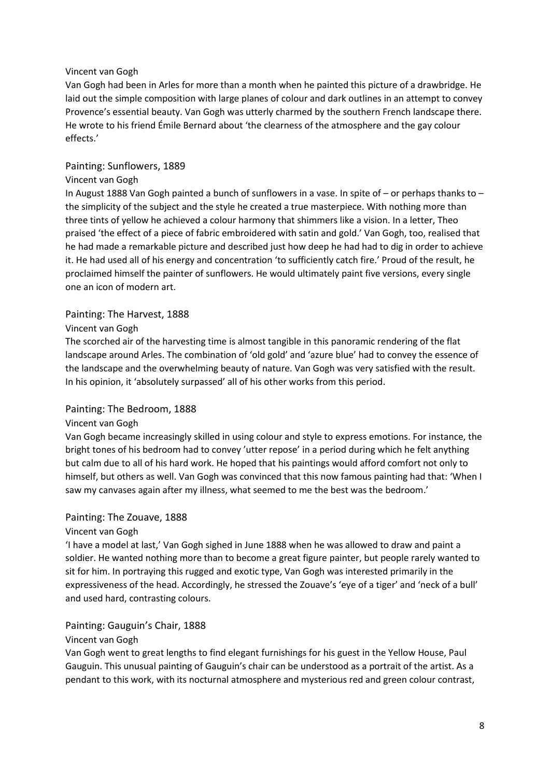## Vincent van Gogh

Van Gogh had been in Arles for more than a month when he painted this picture of a drawbridge. He laid out the simple composition with large planes of colour and dark outlines in an attempt to convey Provence's essential beauty. Van Gogh was utterly charmed by the southern French landscape there. He wrote to his friend Émile Bernard about 'the clearness of the atmosphere and the gay colour effects.'

#### <span id="page-7-0"></span>Painting: Sunflowers, 1889

#### Vincent van Gogh

In August 1888 Van Gogh painted a bunch of sunflowers in a vase. In spite of – or perhaps thanks to – the simplicity of the subject and the style he created a true masterpiece. With nothing more than three tints of yellow he achieved a colour harmony that shimmers like a vision. In a letter, Theo praised 'the effect of a piece of fabric embroidered with satin and gold.' Van Gogh, too, realised that he had made a remarkable picture and described just how deep he had had to dig in order to achieve it. He had used all of his energy and concentration 'to sufficiently catch fire.' Proud of the result, he proclaimed himself the painter of sunflowers. He would ultimately paint five versions, every single one an icon of modern art.

#### <span id="page-7-1"></span>Painting: The Harvest, 1888

#### Vincent van Gogh

The scorched air of the harvesting time is almost tangible in this panoramic rendering of the flat landscape around Arles. The combination of 'old gold' and 'azure blue' had to convey the essence of the landscape and the overwhelming beauty of nature. Van Gogh was very satisfied with the result. In his opinion, it 'absolutely surpassed' all of his other works from this period.

#### <span id="page-7-2"></span>Painting: The Bedroom, 1888

#### Vincent van Gogh

Van Gogh became increasingly skilled in using colour and style to express emotions. For instance, the bright tones of his bedroom had to convey 'utter repose' in a period during which he felt anything but calm due to all of his hard work. He hoped that his paintings would afford comfort not only to himself, but others as well. Van Gogh was convinced that this now famous painting had that: 'When I saw my canvases again after my illness, what seemed to me the best was the bedroom.'

#### <span id="page-7-3"></span>Painting: The Zouave, 1888

#### Vincent van Gogh

'I have a model at last,' Van Gogh sighed in June 1888 when he was allowed to draw and paint a soldier. He wanted nothing more than to become a great figure painter, but people rarely wanted to sit for him. In portraying this rugged and exotic type, Van Gogh was interested primarily in the expressiveness of the head. Accordingly, he stressed the Zouave's 'eye of a tiger' and 'neck of a bull' and used hard, contrasting colours.

## <span id="page-7-4"></span>Painting: Gauguin's Chair, 1888

#### Vincent van Gogh

Van Gogh went to great lengths to find elegant furnishings for his guest in the Yellow House, Paul Gauguin. This unusual painting of Gauguin's chair can be understood as a portrait of the artist. As a pendant to this work, with its nocturnal atmosphere and mysterious red and green colour contrast,